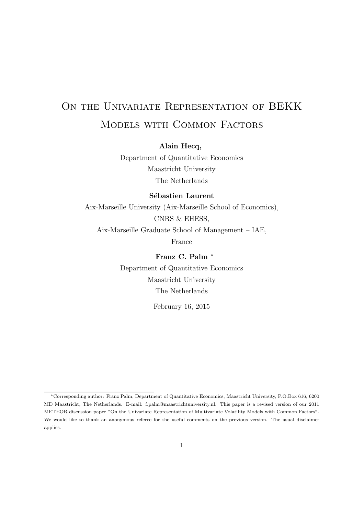# ON THE UNIVARIATE REPRESENTATION OF BEKK Models with Common Factors

**Alain Hecq,**

Department of Quantitative Economics Maastricht University The Netherlands

**Sébastien Laurent** 

Aix-Marseille University (Aix-Marseille School of Economics), CNRS & EHESS, Aix-Marseille Graduate School of Management – IAE, France

> **Franz C. Palm** <sup>∗</sup> Department of Quantitative Economics Maastricht University The Netherlands

> > February 16, 2015

<sup>∗</sup>Corresponding author: Franz Palm, Department of Quantitative Economics, Maastricht University, P.O.Box 616, 6200 MD Maastricht, The Netherlands. E-mail: f.palm@maastrichtuniversity.nl. This paper is a revised version of our 2011 METEOR discussion paper "On the Univariate Representation of Multivariate Volatility Models with Common Factors". We would like to thank an anonymous referee for the useful comments on the previous version. The usual disclaimer applies.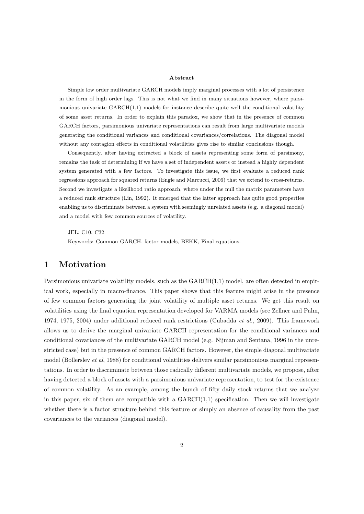#### **Abstract**

Simple low order multivariate GARCH models imply marginal processes with a lot of persistence in the form of high order lags. This is not what we find in many situations however, where parsimonious univariate  $GARCH(1,1)$  models for instance describe quite well the conditional volatility of some asset returns. In order to explain this paradox, we show that in the presence of common GARCH factors, parsimonious univariate representations can result from large multivariate models generating the conditional variances and conditional covariances/correlations. The diagonal model without any contagion effects in conditional volatilities gives rise to similar conclusions though.

Consequently, after having extracted a block of assets representing some form of parsimony, remains the task of determining if we have a set of independent assets or instead a highly dependent system generated with a few factors. To investigate this issue, we first evaluate a reduced rank regressions approach for squared returns (Engle and Marcucci, 2006) that we extend to cross-returns. Second we investigate a likelihood ratio approach, where under the null the matrix parameters have a reduced rank structure (Lin, 1992). It emerged that the latter approach has quite good properties enabling us to discriminate between a system with seemingly unrelated assets (e.g. a diagonal model) and a model with few common sources of volatility.

JEL: C10, C32

Keywords: Common GARCH, factor models, BEKK, Final equations.

## **1 Motivation**

Parsimonious univariate volatility models, such as the  $GARCH(1,1)$  model, are often detected in empirical work, especially in macro-finance. This paper shows that this feature might arise in the presence of few common factors generating the joint volatility of multiple asset returns. We get this result on volatilities using the final equation representation developed for VARMA models (see Zellner and Palm, 1974, 1975, 2004) under additional reduced rank restrictions (Cubadda *et al.,* 2009). This framework allows us to derive the marginal univariate GARCH representation for the conditional variances and conditional covariances of the multivariate GARCH model (e.g. Nijman and Sentana, 1996 in the unrestricted case) but in the presence of common GARCH factors. However, the simple diagonal multivariate model (Bollerslev *et al*, 1988) for conditional volatilities delivers similar parsimonious marginal representations. In order to discriminate between those radically different multivariate models, we propose, after having detected a block of assets with a parsimonious univariate representation, to test for the existence of common volatility. As an example, among the bunch of fifty daily stock returns that we analyze in this paper, six of them are compatible with a  $GARCH(1,1)$  specification. Then we will investigate whether there is a factor structure behind this feature or simply an absence of causality from the past covariances to the variances (diagonal model).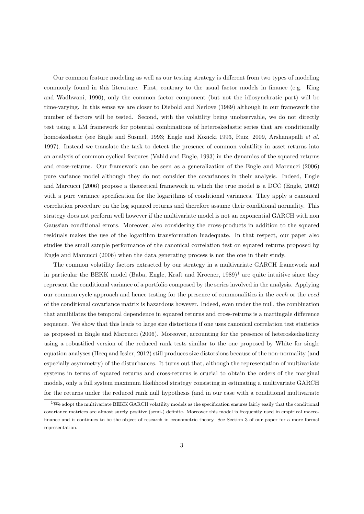Our common feature modeling as well as our testing strategy is different from two types of modeling commonly found in this literature. First, contrary to the usual factor models in finance (e.g. King and Wadhwani, 1990), only the common factor component (but not the idiosynchratic part) will be time-varying. In this sense we are closer to Diebold and Nerlove (1989) although in our framework the number of factors will be tested. Second, with the volatility being unobservable, we do not directly test using a LM framework for potential combinations of heteroskedastic series that are conditionally homoskedastic (see Engle and Susmel, 1993; Engle and Kozicki 1993, Ruiz, 2009, Arshanapalli *et al.* 1997). Instead we translate the task to detect the presence of common volatility in asset returns into an analysis of common cyclical features (Vahid and Engle, 1993) in the dynamics of the squared returns and cross-returns. Our framework can be seen as a generalization of the Engle and Marcucci (2006) pure variance model although they do not consider the covariances in their analysis. Indeed, Engle and Marcucci (2006) propose a theoretical framework in which the true model is a DCC (Engle, 2002) with a pure variance specification for the logarithms of conditional variances. They apply a canonical correlation procedure on the log squared returns and therefore assume their conditional normality. This strategy does not perform well however if the multivariate model is not an exponential GARCH with non Gaussian conditional errors. Moreover, also considering the cross-products in addition to the squared residuals makes the use of the logarithm transformation inadequate. In that respect, our paper also studies the small sample performance of the canonical correlation test on squared returns proposed by Engle and Marcucci (2006) when the data generating process is not the one in their study.

The common volatility factors extracted by our strategy in a multivariate GARCH framework and in particular the BEKK model (Baba, Engle, Kraft and Kroener,  $1989$ )<sup>1</sup> are quite intuitive since they represent the conditional variance of a portfolio composed by the series involved in the analysis. Applying our common cycle approach and hence testing for the presence of commonalities in the vech or the vecd of the conditional covariance matrix is hazardous however. Indeed, even under the null, the combination that annihilates the temporal dependence in squared returns and cross-returns is a martingale difference sequence. We show that this leads to large size distortions if one uses canonical correlation test statistics as proposed in Engle and Marcucci (2006). Moreover, accounting for the presence of heteroskedasticity using a robustified version of the reduced rank tests similar to the one proposed by White for single equation analyses (Hecq and Issler, 2012) still produces size distorsions because of the non-normality (and especially asymmetry) of the disturbances. It turns out that, although the representation of multivariate systems in terms of squared returns and cross-returns is crucial to obtain the orders of the marginal models, only a full system maximum likelihood strategy consisting in estimating a multivariate GARCH for the returns under the reduced rank null hypothesis (and in our case with a conditional multivariate

<sup>&</sup>lt;sup>1</sup>We adopt the multivariate BEKK GARCH volatility models as the specification ensures fairly easily that the conditional covariance matrices are almost surely positive (semi-) definite. Moreover this model is frequently used in empirical macrofinance and it continues to be the object of research in econometric theory. See Section 3 of our paper for a more formal representation.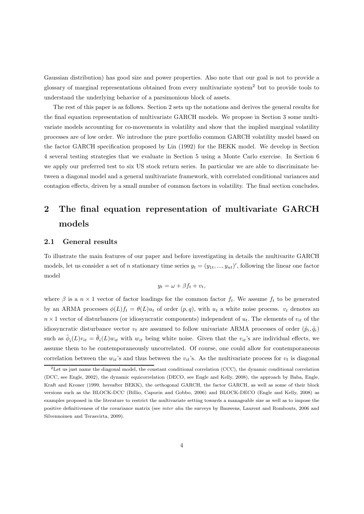Gaussian distribution) has good size and power properties. Also note that our goal is not to provide a glossary of marginal representations obtained from every multivariate system<sup>2</sup> but to provide tools to understand the underlying behavior of a parsimonious block of assets.

The rest of this paper is as follows. Section 2 sets up the notations and derives the general results for the final equation representation of multivariate GARCH models. We propose in Section 3 some multivariate models accounting for co-movements in volatility and show that the implied marginal volatility processes are of low order. We introduce the pure portfolio common GARCH volatility model based on the factor GARCH specification proposed by Lin (1992) for the BEKK model. We develop in Section 4 several testing strategies that we evaluate in Section 5 using a Monte Carlo exercise. In Section 6 we apply our preferred test to six US stock return series. In particular we are able to discriminate between a diagonal model and a general multivariate framework, with correlated conditional variances and contagion effects, driven by a small number of common factors in volatility. The final section concludes.

## **2 The final equation representation of multivariate GARCH models**

#### **2.1 General results**

To illustrate the main features of our paper and before investigating in details the multivarite GARCH models, let us consider a set of n stationary time series  $y_t = (y_{1t}, ..., y_{nt})'$ , following the linear one factor model

$$
y_t = \omega + \beta f_t + v_t,
$$

where  $\beta$  is a  $n \times 1$  vector of factor loadings for the common factor  $f_t$ . We assume  $f_t$  to be generated by an ARMA processes  $\phi(L)f_t = \theta(L)u_t$  of order  $(p, q)$ , with  $u_t$  a white noise process.  $v_t$  denotes an  $n \times 1$  vector of disturbances (or idiosyncratic components) independent of  $u_t$ . The elements of  $v_{it}$  of the idiosyncratic disturbance vector  $v_t$  are assumed to follow univariate ARMA processes of order  $(\tilde{p}_i, \tilde{q}_i)$ such as  $\tilde{\phi}_i(L)v_{it} = \tilde{\theta}_i(L)w_{it}$  with  $w_{it}$  being white noise. Given that the  $v_{it}$ 's are individual effects, we assume them to be contemporaneously uncorrelated. Of course, one could allow for contemporaneous correlation between the  $w_{it}$ 's and thus between the  $v_{it}$ 's. As the multivariate process for  $v_t$  is diagonal

 ${}^{2}$  Let us just name the diagonal model, the constant conditional correlation (CCC), the dynamic conditional correlation (DCC, see Engle, 2002), the dynamic equicorrelation (DECO, see Engle and Kelly, 2008), the approach by Baba, Engle, Kraft and Kroner (1999, hereafter BEKK), the orthogonal GARCH, the factor GARCH, as well as some of their block versions such as the BLOCK-DCC (Billio, Caporin and Gobbo, 2006) and BLOCK-DECO (Engle and Kelly, 2008) as examples proposed in the literature to restrict the multivariate setting towards a manageable size as well as to impose the positive definitiveness of the covariance matrix (see *inter alia* the surveys by Bauwens, Laurent and Rombouts, 2006 and Silvennoinen and Terasvirta, 2009).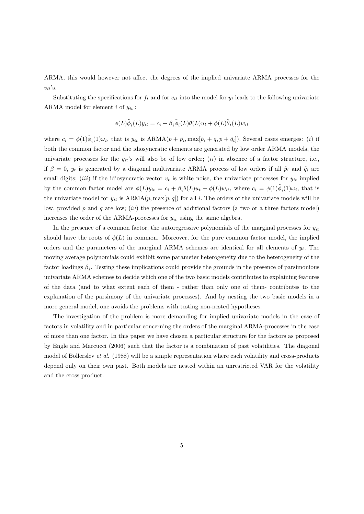ARMA, this would however not affect the degrees of the implied univariate ARMA processes for the  $v_{it}$ 's.

Substituting the specifications for  $f_t$  and for  $v_{it}$  into the model for  $y_t$  leads to the following univariate ARMA model for element  $i$  of  $y_{it}$ :

$$
\phi(L)\tilde{\phi}_i(L)y_{it} = c_i + \beta_i \tilde{\phi}_i(L)\theta(L)u_t + \phi(L)\tilde{\theta}_i(L)w_{it}
$$

where  $c_i = \phi(1)\tilde{\phi}_i(1)\omega_i$ , that is  $y_{it}$  is ARMA $(p + \tilde{p}_i, \max[\tilde{p}_i + q, p + \tilde{q}_i])$ . Several cases emerges: (i) if both the common factor and the idiosyncratic elements are generated by low order ARMA models, the univariate processes for the  $y_{it}$ 's will also be of low order; *(ii)* in absence of a factor structure, i.e., if  $\beta = 0$ ,  $y_t$  is generated by a diagonal multivariate ARMA process of low orders if all  $\tilde{p}_i$  and  $\tilde{q}_i$  are small digits; *(iii)* if the idiosyncratic vector  $v_t$  is white noise, the univariate processes for  $y_{it}$  implied by the common factor model are  $\phi(L)y_{it} = c_i + \beta_i \theta(L)u_t + \phi(L)w_{it}$ , where  $c_i = \phi(1)\phi_i(1)\omega_i$ , that is the univariate model for  $y_{it}$  is  $ARMA(p, max[p, q])$  for all i. The orders of the univariate models will be low, provided p and q are low; (iv) the presence of additional factors (a two or a three factors model) increases the order of the ARMA-processes for  $y_{it}$  using the same algebra.

In the presence of a common factor, the autoregressive polynomials of the marginal processes for  $y_{it}$ should have the roots of  $\phi(L)$  in common. Moreover, for the pure common factor model, the implied orders and the parameters of the marginal ARMA schemes are identical for all elements of  $y_t$ . The moving average polynomials could exhibit some parameter heterogeneity due to the heterogeneity of the factor loadings  $\beta_i$ . Testing these implications could provide the grounds in the presence of parsimonious univariate ARMA schemes to decide which one of the two basic models contributes to explaining features of the data (and to what extent each of them - rather than only one of them- contributes to the explanation of the parsimony of the univariate processes). And by nesting the two basic models in a more general model, one avoids the problems with testing non-nested hypotheses.

The investigation of the problem is more demanding for implied univariate models in the case of factors in volatility and in particular concerning the orders of the marginal ARMA-processes in the case of more than one factor. In this paper we have chosen a particular structure for the factors as proposed by Engle and Marcucci (2006) such that the factor is a combination of past volatilities. The diagonal model of Bollerslev *et al.* (1988) will be a simple representation where each volatility and cross-products depend only on their own past. Both models are nested within an unrestricted VAR for the volatility and the cross product.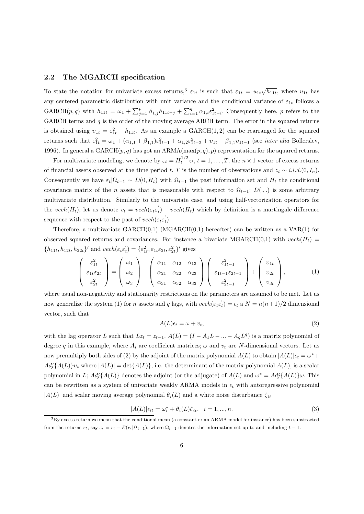#### **2.2 The MGARCH specification**

To state the notation for univariate excess returns,<sup>3</sup>  $\varepsilon_{1t}$  is such that  $\varepsilon_{1t} = u_{1t}\sqrt{h_{11t}}$ , where  $u_{1t}$  has any centered parametric distribution with unit variance and the conditional variance of  $\varepsilon_{1t}$  follows a GARCH $(p,q)$  with  $h_{11t} = \omega_1 + \sum_{j=1}^p \beta_{1,j} h_{11t-j} + \sum_{i=1}^q \alpha_{1,i} \varepsilon_{1t-i}^2$ . Consequently here, p refers to the GARCH terms and  $q$  is the order of the moving average ARCH term. The error in the squared returns is obtained using  $v_{1t} = \varepsilon_{1t}^2 - h_{11t}$ . As an example a GARCH(1,2) can be rearranged for the squared returns such that  $\varepsilon_{1t}^2 = \omega_1 + (\alpha_{1,1} + \beta_{1,1})\varepsilon_{1t-1}^2 + \alpha_{1,2}\varepsilon_{1t-2}^2 + \nu_{1t} - \beta_{1,1}\nu_{1t-1}$  (see *inter alia* Bollerslev, 1996). In general a  $GARCH(p, q)$  has got an  $ARMA(max(p, q), p)$  representation for the squared returns.

For multivariate modeling, we denote by  $\varepsilon_t = H_t^{1/2} z_t$ ,  $t = 1, \ldots, T$ , the  $n \times 1$  vector of excess returns of financial assets observed at the time period t. T is the number of observations and  $z_t \sim i.i.d.$ (0, I<sub>n</sub>). Consequently we have  $\varepsilon_t|\Omega_{t-1} \sim D(0, H_t)$  with  $\Omega_{t-1}$  the past information set and  $H_t$  the conditional covariance matrix of the n assets that is measurable with respect to  $\Omega_{t-1}$ ;  $D(.,.)$  is some arbitrary multivariate distribution. Similarly to the univariate case, and using half-vectorization operators for the  $vech(H_t)$ , let us denote  $v_t = vech(\varepsilon_t \varepsilon_t) - vech(H_t)$  which by definition is a martingale difference sequence with respect to the past of  $vech(\varepsilon_t \varepsilon_t)$ .

Therefore, a multivariate  $GARCH(0,1)$  (MGARCH $(0,1)$ ) hereafter) can be written as a VAR $(1)$  for observed squared returns and covariances. For instance a bivariate MGARCH(0,1) with  $vech(H_t)$  $\{h_{11t}, h_{12t}, h_{22t}\}'$  and  $vech(\varepsilon_t \varepsilon_t') = \{\varepsilon_{1t}^2, \varepsilon_{1t} \varepsilon_{2t}, \varepsilon_{2t}^2\}'$  gives

$$
\begin{pmatrix}\n\varepsilon_{1t}^2 \\
\varepsilon_{1t}\varepsilon_{2t} \\
\varepsilon_{2t}^2\n\end{pmatrix} = \begin{pmatrix}\n\omega_1 \\
\omega_2 \\
\omega_3\n\end{pmatrix} + \begin{pmatrix}\n\alpha_{11} & \alpha_{12} & \alpha_{13} \\
\alpha_{21} & \alpha_{22} & \alpha_{23} \\
\alpha_{31} & \alpha_{32} & \alpha_{33}\n\end{pmatrix} \begin{pmatrix}\n\varepsilon_{1t-1}^2 \\
\varepsilon_{1t-1}\varepsilon_{2t-1} \\
\varepsilon_{2t-1}^2\n\end{pmatrix} + \begin{pmatrix}\nv_{1t} \\
v_{2t} \\
v_{3t}\n\end{pmatrix},
$$
\n(1)

where usual non-negativity and stationarity restrictions on the parameters are assumed to be met. Let us now generalize the system (1) for n assets and q lags, with  $vech(\varepsilon_t \varepsilon_t') = \varepsilon_t$  a  $N = n(n+1)/2$  dimensional vector, such that

$$
A(L)\epsilon_t = \omega + v_t,\tag{2}
$$

with the lag operator L such that  $Lz_t = z_{t-1}$ .  $A(L) = (I - A_1L - ... - A_qL^q)$  is a matrix polynomial of degree q in this example, where  $A_i$  are coefficient matrices;  $\omega$  and  $v_t$  are N-dimensional vectors. Let us now premultiply both sides of (2) by the adjoint of the matrix polynomial  $A(L)$  to obtain  $|A(L)|\epsilon_t = \omega^* +$  $Adj{A(L)}\nu_t$  where  $|A(L)| = det{A(L)}$ , i.e. the determinant of the matrix polynomial  $A(L)$ , is a scalar polynomial in L;  $Adj{A(L)}$  denotes the adjoint (or the adjugate) of  $A(L)$  and  $\omega^* = Adj{A(L)}\omega$ . This can be rewritten as a system of univariate weakly ARMA models in  $\epsilon_t$  with autoregressive polynomial  $|A(L)|$  and scalar moving average polynomial  $\theta_i(L)$  and a white noise disturbance  $\zeta_{it}$ 

$$
|A(L)|\epsilon_{it} = \omega_i^* + \theta_i(L)\zeta_{it}, \quad i = 1, \dots, n. \tag{3}
$$

<sup>3</sup>By excess return we mean that the conditional mean (a constant or an ARMA model for instance) has been substracted from the returns  $r_t$ , say  $\varepsilon_t = r_t - E(r_t|\Omega_{t-1})$ , where  $\Omega_{t-1}$  denotes the information set up to and including  $t-1$ .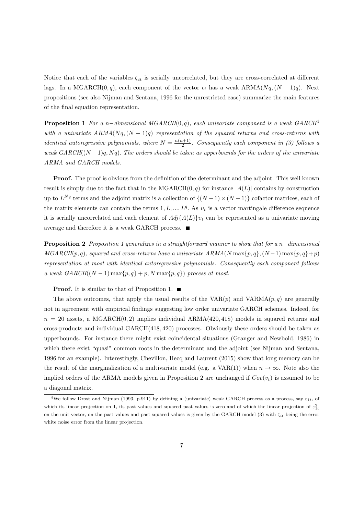Notice that each of the variables  $\zeta_{it}$  is serially uncorrelated, but they are cross-correlated at different lags. In a MGARCH(0,q), each component of the vector  $\epsilon_t$  has a weak ARMA( $Nq$ ,  $(N-1)q$ ). Next propositions (see also Nijman and Sentana, 1996 for the unrestricted case) summarize the main features of the final equation representation.

**Proposition 1** *For a* n−*dimensional MGARCH*(0, q)*, each univariate component is a weak GARCH*<sup>4</sup> *with a univariate*  $ARMA(Nq, (N-1)q)$  *representation of the squared returns and cross-returns with identical autoregressive polynomials, where*  $N = \frac{n(n+1)}{2}$ . Consequently each component in (3) follows a *weak GARCH* $((N-1)q, Nq)$ . *The orders should be taken as upperbounds for the orders of the univariate ARMA and GARCH models.*

**Proof.** The proof is obvious from the definition of the determinant and the adjoint. This well known result is simply due to the fact that in the MGARCH $(0, q)$  for instance  $|A(L)|$  contains by construction up to  $L^{Nq}$  terms and the adjoint matrix is a collection of  $\{(N-1) \times (N-1)\}\)$  cofactor matrices, each of the matrix elements can contain the terms  $1, L, ..., L<sup>q</sup>$ . As  $v<sub>t</sub>$  is a vector martingale difference sequence it is serially uncorrelated and each element of  $Adj{A(L)}v_t$  can be represented as a univariate moving average and therefore it is a weak GARCH process.

**Proposition 2** *Proposition 1 generalizes in a straightforward manner to show that for a* n−*dimensional*  $MGARCH(p, q)$ *, squared and cross-returns have a univariate*  $ARMA(N \max\{p, q\}, (N-1) \max\{p, q\} + p)$ *representation at most with identical autoregressive polynomials. Consequently each component follows a weak GARCH*( $(N-1)$  max $\{p,q\}$  + p, N max $\{p,q\}$ ) process at most.

**Proof.** It is similar to that of Proposition 1. ■

The above outcomes, that apply the usual results of the  $VAR(p)$  and  $VARMA(p,q)$  are generally not in agreement with empirical findings suggesting low order univariate GARCH schemes. Indeed, for  $n = 20$  assets, a MGARCH $(0, 2)$  implies individual ARMA $(420, 418)$  models in squared returns and cross-products and individual GARCH(418, 420) processes. Obviously these orders should be taken as upperbounds. For instance there might exist coincidental situations (Granger and Newbold, 1986) in which there exist "quasi" common roots in the determinant and the adjoint (see Nijman and Sentana, 1996 for an example). Interestingly, Chevillon, Hecq and Laurent (2015) show that long memory can be the result of the marginalization of a multivariate model (e.g. a VAR(1)) when  $n \to \infty$ . Note also the implied orders of the ARMA models given in Proposition 2 are unchanged if  $Cov(v_t)$  is assumed to be a diagonal matrix.

<sup>&</sup>lt;sup>4</sup>We follow Drost and Nijman (1993, p.911) by defining a (univariate) weak GARCH process as a process, say  $\varepsilon_{1t}$ , of which its linear projection on 1, its past values and squared past values is zero and of which the linear projection of  $\varepsilon_{1t}^2$ on the unit vector, on the past values and past squared values is given by the GARCH model (3) with ζ*it* being the error white noise error from the linear projection.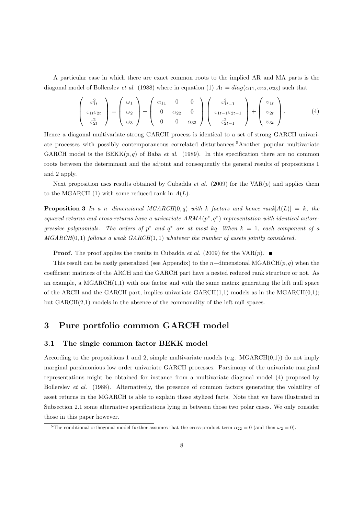A particular case in which there are exact common roots to the implied AR and MA parts is the diagonal model of Bollerslev *et al.* (1988) where in equation (1)  $A_1 = diag(\alpha_{11}, \alpha_{22}, \alpha_{33})$  such that

$$
\begin{pmatrix}\n\varepsilon_{1t}^2 \\
\varepsilon_{1t}\varepsilon_{2t} \\
\varepsilon_{2t}^2\n\end{pmatrix} = \begin{pmatrix}\n\omega_1 \\
\omega_2 \\
\omega_3\n\end{pmatrix} + \begin{pmatrix}\n\alpha_{11} & 0 & 0 \\
0 & \alpha_{22} & 0 \\
0 & 0 & \alpha_{33}\n\end{pmatrix} \begin{pmatrix}\n\varepsilon_{1t-1}^2 \\
\varepsilon_{1t-1}\varepsilon_{2t-1} \\
\varepsilon_{2t-1}^2\n\end{pmatrix} + \begin{pmatrix}\nv_{1t} \\
v_{2t} \\
v_{3t}\n\end{pmatrix}.
$$
\n(4)

Hence a diagonal multivariate strong GARCH process is identical to a set of strong GARCH univariate processes with possibly contemporaneous correlated disturbances.5Another popular multivariate GARCH model is the  $BEKK(p, q)$  of Baba *et al.* (1989). In this specification there are no common roots between the determinant and the adjoint and consequently the general results of propositions 1 and 2 apply.

Next proposition uses results obtained by Cubadda *et al.* (2009) for the  $VAR(p)$  and applies them to the MGARCH  $(1)$  with some reduced rank in  $A(L)$ .

**Proposition 3** *In a n*−*dimensional MGARCH*(0,q) *with* k factors and hence rank $[A(L)] = k$ , the *squared returns and cross-returns have a univariate ARMA*(p∗, q∗) *representation with identical autoregressive polynomials. The orders of*  $p^*$  *and*  $q^*$  *are at most* kq. When  $k = 1$ *, each component of a MGARCH*(0, 1) *follows a weak GARCH*(1, 1) *whatever the number of assets jointly considered.*

**Proof.** The proof applies the results in Cubadda *et al.* (2009) for the VAR(p).

This result can be easily generalized (see Appendix) to the n–dimensional MGARCH(p, q) when the coefficient matrices of the ARCH and the GARCH part have a nested reduced rank structure or not. As an example, a  $MGARCH(1,1)$  with one factor and with the same matrix generating the left null space of the ARCH and the GARCH part, implies univariate  $GARCH(1,1)$  models as in the MGARCH $(0,1)$ ; but  $GARCH(2,1)$  models in the absence of the commonality of the left null spaces.

## **3 Pure portfolio common GARCH model**

#### **3.1 The single common factor BEKK model**

According to the propositions 1 and 2, simple multivariate models (e.g.  $MGARCH(0,1)$ ) do not imply marginal parsimonious low order univariate GARCH processes. Parsimony of the univariate marginal representations might be obtained for instance from a multivariate diagonal model (4) proposed by Bollerslev *et al.* (1988). Alternatively, the presence of common factors generating the volatility of asset returns in the MGARCH is able to explain those stylized facts. Note that we have illustrated in Subsection 2.1 some alternative specifications lying in between those two polar cases. We only consider those in this paper however.

<sup>&</sup>lt;sup>5</sup>The conditional orthogonal model further assumes that the cross-product term  $\alpha_{22} = 0$  (and then  $\omega_2 = 0$ ).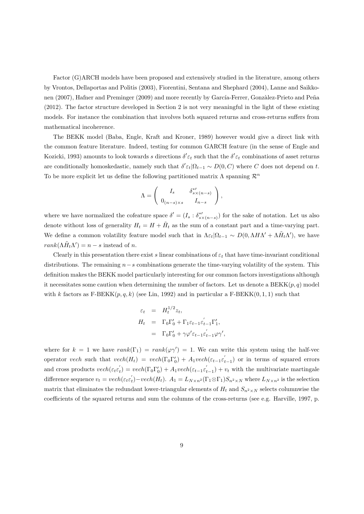Factor (G)ARCH models have been proposed and extensively studied in the literature, among others by Vrontos, Dellaportas and Politis (2003), Fiorentini, Sentana and Shephard (2004), Lanne and Saikkonen (2007), Hafner and Preminger (2009) and more recently by García-Ferrer, Gonzàlez-Prieto and Peña (2012). The factor structure developed in Section 2 is not very meaningful in the light of these existing models. For instance the combination that involves both squared returns and cross-returns suffers from mathematical incoherence.

The BEKK model (Baba, Engle, Kraft and Kroner, 1989) however would give a direct link with the common feature literature. Indeed, testing for common GARCH feature (in the sense of Engle and Kozicki, 1993) amounts to look towards s directions  $\delta' \varepsilon_t$  such that the  $\delta' \varepsilon_t$  combinations of asset returns are conditionally homoskedastic, namely such that  $\delta' \varepsilon_t | \Omega_{t-1} \sim D(0, C)$  where C does not depend on t. To be more explicit let us define the following partitioned matrix  $\Lambda$  spanning  $\mathcal{R}^n$ 

$$
\Lambda = \left( \begin{array}{cc} I_s & \delta_{s \times (n-s)}^{*t} \\ 0_{(n-s) \times s} & I_{n-s} \end{array} \right),
$$

where we have normalized the cofeature space  $\delta' = (I_s : \delta^{*\prime}_{s \times (n-s)})$  for the sake of notation. Let us also denote without loss of generality  $H_t = H + \tilde{H}_t$  as the sum of a constant part and a time-varying part. We define a common volatility feature model such that in  $\Lambda \varepsilon_t |\Omega_{t-1} \sim D(0, \Lambda H \Lambda' + \Lambda \tilde{H}_t \Lambda')$ , we have  $rank(\Lambda \tilde{H}_t \Lambda') = n - s$  instead of *n*.

Clearly in this presentation there exist s linear combinations of  $\varepsilon_t$  that have time-invariant conditional distributions. The remaining  $n-s$  combinations generate the time-varying volatility of the system. This definition makes the BEKK model particularly interesting for our common factors investigations although it necessitates some caution when determining the number of factors. Let us denote a  $BEKK(p, q)$  model with k factors as  $F-BEKK(p, q, k)$  (see Lin, 1992) and in particular a  $F-BEKK(0, 1, 1)$  such that

$$
\varepsilon_t = H_t^{1/2} z_t,
$$
  
\n
$$
H_t = \Gamma_0 \Gamma'_0 + \Gamma_1 \varepsilon_{t-1} \varepsilon'_{t-1} \Gamma'_1,
$$
  
\n
$$
= \Gamma_0 \Gamma'_0 + \gamma \varphi' \varepsilon_{t-1} \varepsilon'_{t-1} \varphi \gamma',
$$

where for  $k = 1$  we have  $rank(\Gamma_1) = rank(\varphi \gamma') = 1$ . We can write this system using the half-vec operator vech such that  $vech(H_t) = vech(\Gamma_0 \Gamma'_0) + A_1 vech(\varepsilon_{t-1} \varepsilon'_{t-1})$  or in terms of squared errors and cross products  $vech(\varepsilon_t \varepsilon_t') = vech(\Gamma_0 \Gamma_0') + A_1 vech(\varepsilon_{t-1} \varepsilon_{t-1}') + v_t$  with the multivariate martingale difference sequence  $v_t = vech(\varepsilon_t \varepsilon_t') - vech(H_t)$ .  $A_1 = L_{N \times n^2}(\Gamma_1 \otimes \Gamma_1)S_{n^2 \times N}$  where  $L_{N \times n^2}$  is the selection matrix that eliminates the redundant lower-triangular elements of  $H_t$  and  $S_{n^2\times N}$  selects columnwise the coefficients of the squared returns and sum the columns of the cross-returns (see e.g. Harville, 1997, p.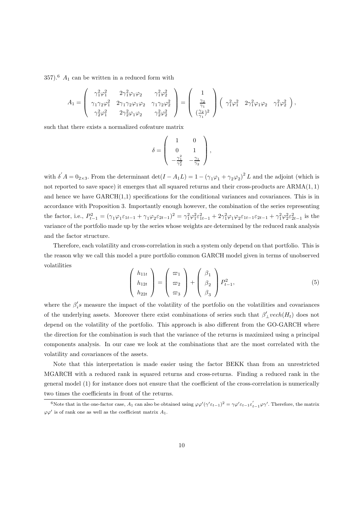357).<sup>6</sup>  $A_1$  can be written in a reduced form with

$$
A_1 = \begin{pmatrix} \gamma_1^2 \varphi_1^2 & 2\gamma_1^2 \varphi_1 \varphi_2 & \gamma_1^2 \varphi_2^2 \\ \gamma_1 \gamma_2 \varphi_1^2 & 2\gamma_1 \gamma_2 \varphi_1 \varphi_2 & \gamma_1 \gamma_2 \varphi_2^2 \\ \gamma_2^2 \varphi_1^2 & 2\gamma_2^2 \varphi_1 \varphi_2 & \gamma_2^2 \varphi_2^2 \end{pmatrix} = \begin{pmatrix} 1 \\ \frac{\gamma_2}{\gamma_1} \\ (\frac{\gamma_2}{\gamma_1})^2 \end{pmatrix} \begin{pmatrix} \gamma_1^2 \varphi_1^2 & 2\gamma_1^2 \varphi_1 \varphi_2 & \gamma_1^2 \varphi_2^2 \end{pmatrix},
$$

such that there exists a normalized cofeature matrix

$$
\delta = \left( \begin{array}{cc} 1 & 0 \\ 0 & 1 \\ -\frac{\gamma_1^2}{\gamma_2^2} & -\frac{\gamma_1}{\gamma_2} \end{array} \right),
$$

with  $\delta' A = 0_{2\times 3}$ . From the determinant  $\det(I - A_1 L) = 1 - (\gamma_1 \varphi_1 + \gamma_2 \varphi_2)^2 L$  and the adjoint (which is not reported to save space) it emerges that all squared returns and their cross-products are ARMA(1, 1) and hence we have  $GARCH(1,1)$  specifications for the conditional variances and covariances. This is in accordance with Proposition 3. Importantly enough however, the combination of the series representing the factor, i.e.,  $P_{t-1}^2 = (\gamma_1 \varphi_1 \varepsilon_{1t-1} + \gamma_1 \varphi_2 \varepsilon_{2t-1})^2 = \gamma_1^2 \varphi_1^2 \varepsilon_{1t-1}^2 + 2 \gamma_1^2 \varphi_1 \varphi_2 \varepsilon_{1t-1} \varepsilon_{2t-1} + \gamma_1^2 \varphi_2^2 \varepsilon_{2t-1}^2$  is the variance of the portfolio made up by the series whose weights are determined by the reduced rank analysis and the factor structure.

Therefore, each volatility and cross-correlation in such a system only depend on that portfolio. This is the reason why we call this model a pure portfolio common GARCH model given in terms of unobserved volatilities  $\sim$  $\Delta$  $\sim$ 

$$
\begin{pmatrix} h_{11t} \\ h_{12t} \\ h_{22t} \end{pmatrix} = \begin{pmatrix} \varpi_1 \\ \varpi_2 \\ \varpi_3 \end{pmatrix} + \begin{pmatrix} \beta_1 \\ \beta_2 \\ \beta_3 \end{pmatrix} P_{t-1}^2,
$$
 (5)

where the  $\beta_i$ 's measure the impact of the volatility of the portfolio on the volatilities and covariances of the underlying assets. Moreover there exist combinations of series such that  $\beta'_{\perp}$  vech $(H_t)$  does not depend on the volatility of the portfolio. This approach is also different from the GO-GARCH where the direction for the combination is such that the variance of the returns is maximized using a principal components analysis. In our case we look at the combinations that are the most correlated with the volatility and covariances of the assets.

Note that this interpretation is made easier using the factor BEKK than from an unrestricted MGARCH with a reduced rank in squared returns and cross-returns. Finding a reduced rank in the general model (1) for instance does not ensure that the coefficient of the cross-correlation is numerically two times the coefficients in front of the returns.

<sup>&</sup>lt;sup>6</sup>Note that in the one-factor case,  $A_1$  can also be obtained using  $\varphi \varphi'(\gamma' \varepsilon_{t-1})^2 = \gamma \varphi' \varepsilon_{t-1} \varepsilon'_{t-1} \varphi \gamma'$ . Therefore, the matrix  $\varphi \varphi'$  is of rank one as well as the coefficient matrix  $A_1$ .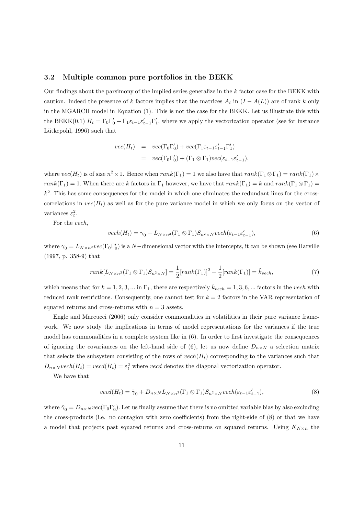#### **3.2 Multiple common pure portfolios in the BEKK**

Our findings about the parsimony of the implied series generalize in the k factor case for the BEKK with caution. Indeed the presence of k factors implies that the matrices  $A_i$  in  $(I - A(L))$  are of rank k only in the MGARCH model in Equation (1). This is not the case for the BEKK. Let us illustrate this with the BEKK(0,1)  $H_t = \Gamma_0 \Gamma'_0 + \Gamma_1 \varepsilon_{t-1} \varepsilon'_{t-1} \Gamma'_1$ , where we apply the vectorization operator (see for instance Lütkepohl, 1996) such that

$$
vec(H_t) = vec(\Gamma_0 \Gamma'_0) + vec(\Gamma_1 \varepsilon_{t-1} \varepsilon'_{t-1} \Gamma'_1)
$$
  
= 
$$
vec(\Gamma_0 \Gamma'_0) + (\Gamma_1 \otimes \Gamma_1) vec(\varepsilon_{t-1} \varepsilon'_{t-1}),
$$

where  $vec(H_t)$  is of size  $n^2 \times 1$ . Hence when  $rank(\Gamma_1) = 1$  we also have that  $rank(\Gamma_1 \otimes \Gamma_1) = rank(\Gamma_1) \times$  $rank(\Gamma_1)=1$ . When there are k factors in  $\Gamma_1$  however, we have that  $rank(\Gamma_1) = k$  and  $rank(\Gamma_1 \otimes \Gamma_1) =$  $k<sup>2</sup>$ . This has some consequences for the model in which one eliminates the redundant lines for the crosscorrelations in  $vec(H_t)$  as well as for the pure variance model in which we only focus on the vector of variances  $\varepsilon_t^2$ .

For the vech,

$$
vech(H_t) = \gamma_0 + L_{N \times n^2}(\Gamma_1 \otimes \Gamma_1) S_{n^2 \times N} vech(\varepsilon_{t-1} \varepsilon'_{t-1}),
$$
\n(6)

where  $\gamma_0 = L_{N \times n^2}$ *vec*( $\Gamma_0 \Gamma_0'$ ) is a N-dimensional vector with the intercepts, it can be shown (see Harville (1997, p. 358-9) that

$$
rank[L_{N\times n^2}(\Gamma_1\otimes\Gamma_1)S_{n^2\times N}] = \frac{1}{2}[rank(\Gamma_1)]^2 + \frac{1}{2}[rank(\Gamma_1)] = \tilde{k}_{vech},
$$
\n(7)

which means that for  $k = 1, 2, 3, ...$  in  $\Gamma_1$ , there are respectively  $\tilde{k}_{vech} = 1, 3, 6, ...$  factors in the vech with reduced rank restrictions. Consequently, one cannot test for  $k = 2$  factors in the VAR representation of squared returns and cross-returns with  $n = 3$  assets.

Engle and Marcucci (2006) only consider commonalities in volatilities in their pure variance framework. We now study the implications in terms of model representations for the variances if the true model has commonalities in a complete system like in (6). In order to first investigate the consequences of ignoring the covariances on the left-hand side of (6), let us now define  $D_{n\times N}$  a selection matrix that selects the subsystem consisting of the rows of  $vech(H_t)$  corresponding to the variances such that  $D_{n\times N}$  vech $(H_t) = \text{vecd}(H_t) = \varepsilon_t^2$  where vecd denotes the diagonal vectorization operator.

We have that

$$
vecd(H_t) = \tilde{\gamma}_0 + D_{n \times N} L_{N \times n^2}(\Gamma_1 \otimes \Gamma_1) S_{n^2 \times N} vech(\varepsilon_{t-1} \varepsilon'_{t-1}),
$$
\n(8)

where  $\tilde{\gamma}_0 = D_{n \times N} vec(\Gamma_0 \Gamma_0')$ . Let us finally assume that there is no omitted variable bias by also excluding the cross-products (i.e. no contagion with zero coefficients) from the right-side of (8) or that we have a model that projects past squared returns and cross-returns on squared returns. Using  $K_{N\times n}$  the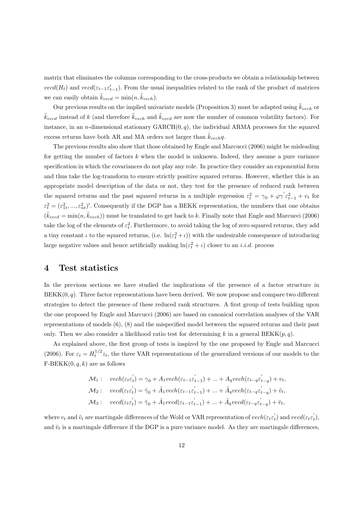matrix that eliminates the columns corresponding to the cross-products we obtain a relationship between  $\text{vecd}(H_t)$  and  $\text{vecd}(\varepsilon_{t-1}\varepsilon'_{t-1})$ . From the usual inequalities related to the rank of the product of matrices we can easily obtain  $\tilde{k}_{\text{vecd}} = \min(n, \tilde{k}_{\text{vech}})$ .

Our previous results on the implied univariate models (Proposition 3) must be adapted using  $\tilde{k}_{vech}$  or  $\tilde{k}_{ved}$  instead of k (and therefore  $\tilde{k}_{vech}$  and  $\tilde{k}_{vecd}$  are now the number of common volatility factors). For instance, in an *n*-dimensional stationary  $GARCH(0, q)$ , the individual ARMA processes for the squared excess returns have both AR and MA orders not larger than  $\tilde{k}_{vech}q$ .

The previous results also show that those obtained by Engle and Marcucci (2006) might be misleading for getting the number of factors  $k$  when the model is unknown. Indeed, they assume a pure variance specification in which the covariances do not play any role. In practice they consider an exponential form and thus take the log-transform to ensure strictly positive squared returns. However, whether this is an appropriate model description of the data or not, they test for the presence of reduced rank between the squared returns and the past squared returns in a multiple regression  $\varepsilon_t^2 = \gamma_0 + \varphi \gamma \varepsilon_{t-1}^2 + v_t$  for  $\varepsilon_t^2 = (\varepsilon_{1t}^2, ..., \varepsilon_{nt}^2)'$ . Consequently if the DGP has a BEKK representation, the numbers that one obtains  $(\tilde{k}_{vecd} = \min(n, \tilde{k}_{vech}))$  must be translated to get back to k. Finally note that Engle and Marcucci (2006) take the log of the elements of  $\varepsilon_t^2$ . Furthermore, to avoid taking the log of zero squared returns, they add a tiny constant  $\iota$  to the squared returns, (i.e.  $\ln(\varepsilon_t^2 + \iota)$ ) with the undesirable consequence of introducing large negative values and hence artificially making  $\ln(\varepsilon_t^2 + \iota)$  closer to an *i.i.d.* process

### **4 Test statistics**

In the previous sections we have studied the implications of the presence of a factor structure in  $BEKK(0, q)$ . Three factor representations have been derived. We now propose and compare two different strategies to detect the presence of these reduced rank structures. A first group of tests building upon the one proposed by Engle and Marcucci (2006) are based on canonical correlation analyses of the VAR representations of models (6), (8) and the mispecified model between the squared returns and their past only. Then we also consider a likelihood ratio test for determining k in a general BEKK $(p, q)$ .

As explained above, the first group of tests is inspired by the one proposed by Engle and Marcucci (2006). For  $\varepsilon_t = H_t^{1/2} z_t$ , the three VAR representations of the generalized versions of our models to the F-BEKK $(0, q, k)$  are as follows

$$
\mathcal{M}_1: \quad \text{vech}(\varepsilon_t \varepsilon_t') = \gamma_0 + A_1 \text{vech}(\varepsilon_{t-1} \varepsilon_{t-1}') + \dots + A_q \text{vech}(\varepsilon_{t-q} \varepsilon_{t-q}') + v_t,
$$
\n
$$
\mathcal{M}_2: \quad \text{vecd}(\varepsilon_t \varepsilon_t') = \tilde{\gamma}_0 + \tilde{A}_1 \text{vech}(\varepsilon_{t-1} \varepsilon_{t-1}') + \dots + \tilde{A}_q \text{vech}(\varepsilon_{t-q} \varepsilon_{t-q}') + \tilde{v}_t,
$$
\n
$$
\mathcal{M}_3: \quad \text{vecd}(\varepsilon_t \varepsilon_t') = \tilde{\gamma}_0 + \tilde{A}_1 \text{vecd}(\varepsilon_{t-1} \varepsilon_{t-1}') + \dots + \tilde{A}_q \text{vecd}(\varepsilon_{t-q} \varepsilon_{t-q}') + \tilde{v}_t,
$$

where  $v_t$  and  $\tilde{v}_t$  are martingale differences of the Wold or VAR representation of  $vech(\varepsilon_t \varepsilon_t)$  and  $vecd(\varepsilon_t \varepsilon_t),$ and  $\check{v}_t$  is a martingale difference if the DGP is a pure variance model. As they are martingale differences,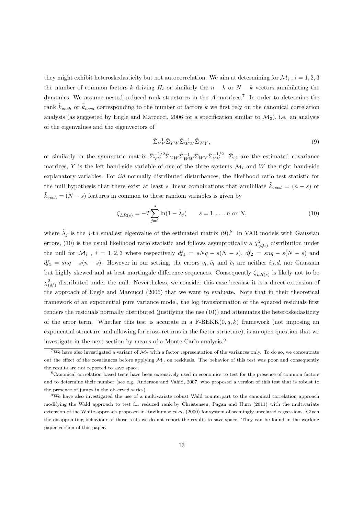they might exhibit heteroskedasticity but not autocorrelation. We aim at determining for  $\mathcal{M}_i$ ,  $i = 1, 2, 3$ the number of common factors k driving  $H_t$  or similarly the  $n - k$  or  $N - k$  vectors annihilating the dynamics. We assume nested reduced rank structures in the  $A$  matrices.<sup>7</sup> In order to determine the rank  $\tilde{k}_{vech}$  or  $\tilde{k}_{vecd}$  corresponding to the number of factors k we first rely on the canonical correlation analysis (as suggested by Engle and Marcucci, 2006 for a specification similar to  $\mathcal{M}_3$ ), i.e. an analysis of the eigenvalues and the eigenvectors of

$$
\hat{\Sigma}_{YY}^{-1}\hat{\Sigma}_{YW}\hat{\Sigma}_{WW}^{-1}\hat{\Sigma}_{WY},\tag{9}
$$

or similarly in the symmetric matrix  $\hat{\Sigma}_{YY}^{-1/2} \hat{\Sigma}_{YW} \hat{\Sigma}_{WW}^{-1} \hat{\Sigma}_{WY} \hat{\Sigma}_{YY}^{-1/2}$ .  $\hat{\Sigma}_{ij}$  are the estimated covariance matrices, Y is the left hand-side variable of one of the three systems  $\mathcal{M}_i$  and W the right hand-side explanatory variables. For iid normally distributed disturbances, the likelihood ratio test statistic for the null hypothesis that there exist at least s linear combinations that annihilate  $\tilde{k}_{\text{vecd}} = (n - s)$  or  $\tilde{k}_{vech} = (N - s)$  features in common to these random variables is given by

$$
\zeta_{LR(s)} = -T \sum_{j=1}^{s} \ln(1 - \hat{\lambda}_j) \qquad s = 1, ..., n \text{ or } N,
$$
\n(10)

where  $\hat{\lambda}_j$  is the j-th smallest eigenvalue of the estimated matrix (9).<sup>8</sup> In VAR models with Gaussian errors, (10) is the usual likelihood ratio statistic and follows asymptotically a  $\chi^2_{(df_i)}$  distribution under the null for  $\mathcal{M}_i$ ,  $i = 1, 2, 3$  where respectively  $df_1 = sNq - s(N - s)$ ,  $df_2 = s nq - s(N - s)$  and  $df_3 = s nq - s(n - s)$ . However in our setting, the errors  $v_t$ ,  $\tilde{v}_t$  and  $\tilde{v}_t$  are neither *i.i.d.* nor Gaussian but highly skewed and at best martingale difference sequences. Consequently  $\zeta_{LR(s)}$  is likely not to be  $\chi^2_{(df)}$  distributed under the null. Nevertheless, we consider this case because it is a direct extension of the approach of Engle and Marcucci (2006) that we want to evaluate. Note that in their theoretical framework of an exponential pure variance model, the log transformation of the squared residuals first renders the residuals normally distributed (justifying the use (10)) and attenuates the heteroskedasticity of the error term. Whether this test is accurate in a F-BEKK $(0, q, k)$  framework (not imposing an exponential structure and allowing for cross-returns in the factor structure), is an open question that we investigate in the next section by means of a Monte Carlo analysis.<sup>9</sup>

<sup>&</sup>lt;sup>7</sup>We have also investigated a variant of  $M_2$  with a factor representation of the variances only. To do so, we concentrate out the effect of the covariances before applying  $M_3$  on residuals. The behavior of this test was poor and consequently the results are not reported to save space.

<sup>8</sup>Canonical correlation based tests have been extensively used in economics to test for the presence of common factors and to determine their number (see e.g. Anderson and Vahid, 2007, who proposed a version of this test that is robust to the presence of jumps in the observed series).

<sup>9</sup>We have also investigated the use of a multivariate robust Wald counterpart to the canonical correlation approach modifying the Wald approach to test for reduced rank by Christensen, Pagan and Hurn (2011) with the multivariate extension of the White approach proposed in Ravikumar et al. (2000) for system of seemingly unrelated regressions. Given the disappointing behaviour of those tests we do not report the results to save space. They can be found in the working paper version of this paper.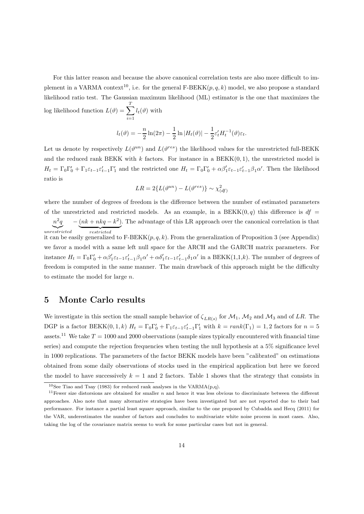For this latter reason and because the above canonical correlation tests are also more difficult to implement in a VARMA context<sup>10</sup>, i.e. for the general F-BEKK $(p, q, k)$  model, we also propose a standard likelihood ratio test. The Gaussian maximum likelihood (ML) estimator is the one that maximizes the log likelihood function  $L(\vartheta) = \sum$  $\overline{\tau}$  $i=1$  $l_t(\vartheta)$  with

$$
l_t(\vartheta) = -\frac{n}{2}\ln(2\pi) - \frac{1}{2}\ln|H_t(\vartheta)| - \frac{1}{2}\varepsilon'_t H_t^{-1}(\vartheta)\varepsilon_t.
$$

Let us denote by respectively  $L(\vartheta^{un})$  and  $L(\vartheta^{res})$  the likelihood values for the unrestricted full-BEKK and the reduced rank BEKK with k factors. For instance in a  $BEKK(0, 1)$ , the unrestricted model is  $H_t = \Gamma_0 \Gamma'_0 + \Gamma_1 \varepsilon_{t-1} \varepsilon'_{t-1} \Gamma'_1$  and the restricted one  $H_t = \Gamma_0 \Gamma'_0 + \alpha \beta'_1 \varepsilon_{t-1} \varepsilon'_{t-1} \beta_1 \alpha'$ . Then the likelihood ratio is

$$
LR = 2\{L(\vartheta^{un}) - L(\vartheta^{res})\} \sim \chi^2_{(df)}
$$

where the number of degrees of freedom is the difference between the number of estimated parameters of the unrestricted and restricted models. As an example, in a BEKK $(0, q)$  this difference is  $df =$  $n^2q$  unrestricted  $-(nk + nkq - k^2)$  restricted . The advantage of this LR approach over the canonical correlation is that

it can be easily generalized to  $F-BEKK(p, q, k)$ . From the generalization of Proposition 3 (see Appendix) we favor a model with a same left null space for the ARCH and the GARCH matrix parameters. For instance  $H_t = \Gamma_0 \Gamma'_0 + \alpha \beta'_1 \varepsilon_{t-1} \varepsilon'_{t-1} \beta_1 \alpha' + \alpha \delta'_1 \varepsilon_{t-1} \varepsilon'_{t-1} \delta_1 \alpha'$  in a BEKK $(1,1,k)$ . The number of degrees of freedom is computed in the same manner. The main drawback of this approach might be the difficulty to estimate the model for large n.

## **5 Monte Carlo results**

We investigate in this section the small sample behavior of  $\zeta_{LR(s)}$  for  $\mathcal{M}_1$ ,  $\mathcal{M}_2$  and  $\mathcal{M}_3$  and of LR. The DGP is a factor BEKK $(0, 1, k)$   $H_t = \Gamma_0 \Gamma'_0 + \Gamma_1 \varepsilon_{t-1} \varepsilon'_{t-1} \Gamma'_1$  with  $k = rank(\Gamma_1) = 1, 2$  factors for  $n = 5$ assets.<sup>11</sup> We take  $T = 1000$  and 2000 observations (sample sizes typically encountered with financial time series) and compute the rejection frequencies when testing the null hypothesis at a 5% significance level in 1000 replications. The parameters of the factor BEKK models have been "calibrated" on estimations obtained from some daily observations of stocks used in the empirical application but here we forced the model to have successively  $k = 1$  and 2 factors. Table 1 shows that the strategy that consists in

<sup>&</sup>lt;sup>10</sup>See Tiao and Tsay (1983) for reduced rank analyses in the VARMA(p,q).

<sup>&</sup>lt;sup>11</sup>Fewer size distorsions are obtained for smaller  $n$  and hence it was less obvious to discriminate between the different approaches. Also note that many alternative strategies have been investigated but are not reported due to their bad performance. For instance a partial least square approach, similar to the one proposed by Cubadda and Hecq (2011) for the VAR, underestimates the number of factors and concludes to multivariate white noise process in most cases. Also, taking the log of the covariance matrix seems to work for some particular cases but not in general.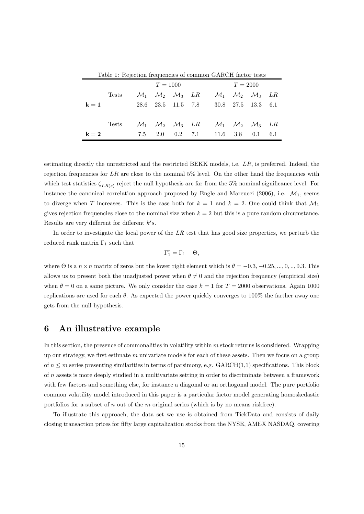| Table 1. Rejection hequencies of common GARCH factor tests |              |     |          |                                                      |  |                                                                                                           |            |                                                    |     |  |  |  |
|------------------------------------------------------------|--------------|-----|----------|------------------------------------------------------|--|-----------------------------------------------------------------------------------------------------------|------------|----------------------------------------------------|-----|--|--|--|
|                                                            |              |     | $T=1000$ |                                                      |  |                                                                                                           | $T = 2000$ |                                                    |     |  |  |  |
|                                                            | <b>Tests</b> |     |          | $\mathcal{M}_1$ $\mathcal{M}_2$ $\mathcal{M}_3$ $LR$ |  |                                                                                                           |            | $\mathcal{M}_1$ $\mathcal{M}_2$ $\mathcal{M}_3$ LR |     |  |  |  |
| $\mathbf{k}=1$                                             |              |     |          | 28.6 23.5 11.5 7.8                                   |  |                                                                                                           |            | $30.8$ $27.5$ $13.3$ $6.1$                         |     |  |  |  |
|                                                            |              |     |          |                                                      |  |                                                                                                           |            |                                                    |     |  |  |  |
|                                                            | <b>Tests</b> |     |          |                                                      |  | $\mathcal{M}_1$ $\mathcal{M}_2$ $\mathcal{M}_3$ $LR$ $\mathcal{M}_1$ $\mathcal{M}_2$ $\mathcal{M}_3$ $LR$ |            |                                                    |     |  |  |  |
| $\mathbf{k}=\mathbf{2}$                                    |              | 7.5 |          |                                                      |  | $2.0 \t 0.2 \t 7.1 \t 11.6 \t 3.8$                                                                        |            | 0.1                                                | 6.1 |  |  |  |

Table 1: Rejection frequencies of common GARCH factor tests

estimating directly the unrestricted and the restricted BEKK models, i.e. LR, is preferred. Indeed, the rejection frequencies for  $LR$  are close to the nominal 5% level. On the other hand the frequencies with which test statistics  $\zeta_{LR(s)}$  reject the null hypothesis are far from the 5% nominal significance level. For instance the canonical correlation approach proposed by Engle and Marcucci (2006), i.e.  $\mathcal{M}_1$ , seems to diverge when T increases. This is the case both for  $k = 1$  and  $k = 2$ . One could think that  $\mathcal{M}_1$ gives rejection frequencies close to the nominal size when  $k = 2$  but this is a pure random circumstance. Results are very different for different  $k's$ .

In order to investigate the local power of the *LR* test that has good size properties, we perturb the reduced rank matrix  $\Gamma_1$  such that

$$
\Gamma_1^*=\Gamma_1+\Theta,
$$

where  $\Theta$  is a  $n \times n$  matrix of zeros but the lower right element which is  $\theta = -0.3, -0.25, ..., 0, ..., 0.3$ . This allows us to present both the unadjusted power when  $\theta \neq 0$  and the rejection frequency (empirical size) when  $\theta = 0$  on a same picture. We only consider the case  $k = 1$  for  $T = 2000$  observations. Again 1000 replications are used for each  $\theta$ . As expected the power quickly converges to 100% the farther away one gets from the null hypothesis.

#### **6 An illustrative example**

In this section, the presence of commonalities in volatility within  $m$  stock returns is considered. Wrapping up our strategy, we first estimate  $m$  univariate models for each of these assets. Then we focus on a group of  $n \leq m$  series presenting similarities in terms of parsimony, e.g. GARCH(1,1) specifications. This block of n assets is more deeply studied in a multivariate setting in order to discriminate between a framework with few factors and something else, for instance a diagonal or an orthogonal model. The pure portfolio common volatility model introduced in this paper is a particular factor model generating homoskedastic portfolios for a subset of n out of the m original series (which is by no means riskfree).

To illustrate this approach, the data set we use is obtained from TickData and consists of daily closing transaction prices for fifty large capitalization stocks from the NYSE, AMEX NASDAQ, covering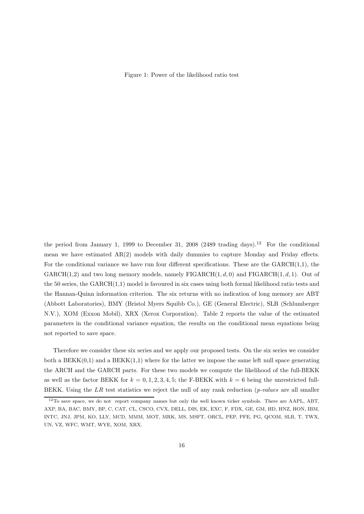Figure 1: Power of the likelihood ratio test

the period from January 1, 1999 to December 31, 2008 (2489 trading days).<sup>12</sup> For the conditional mean we have estimated AR(2) models with daily dummies to capture Monday and Friday effects. For the conditional variance we have run four different specifications. These are the  $GARCH(1,1)$ , the  $GARCH(1,2)$  and two long memory models, namely FIGARCH $(1, d, 0)$  and FIGARCH $(1, d, 1)$ . Out of the 50 series, the  $GARCH(1,1)$  model is favoured in six cases using both formal likelihood ratio tests and the Hannan-Quinn information criterion. The six returns with no indication of long memory are ABT (Abbott Laboratories), BMY (Bristol Myers Squibb Co.), GE (General Electric), SLB (Schlumberger N.V.), XOM (Exxon Mobil), XRX (Xerox Corporation). Table 2 reports the value of the estimated parameters in the conditional variance equation, the results on the conditional mean equations being not reported to save space.

Therefore we consider these six series and we apply our proposed tests. On the six series we consider both a  $BEKK(0,1)$  and a  $BEKK(1,1)$  where for the latter we impose the same left null space generating the ARCH and the GARCH parts. For these two models we compute the likelihood of the full-BEKK as well as the factor BEKK for  $k = 0, 1, 2, 3, 4, 5$ ; the F-BEKK with  $k = 6$  being the unrestricted full-BEKK. Using the LR test statistics we reject the null of any rank reduction (*p-values* are all smaller

 $12$ To save space, we do not report company names but only the well known ticker symbols. There are AAPL, ABT, AXP, BA, BAC, BMY, BP, C, CAT, CL, CSCO, CVX, DELL, DIS, EK, EXC, F, FDX, GE, GM, HD, HNZ, HON, IBM, INTC, JNJ, JPM, KO, LLY, MCD, MMM, MOT, MRK, MS, MSFT, ORCL, PEP, PFE, PG, QCOM, SLB, T, TWX, UN, VZ, WFC, WMT, WYE, XOM, XRX.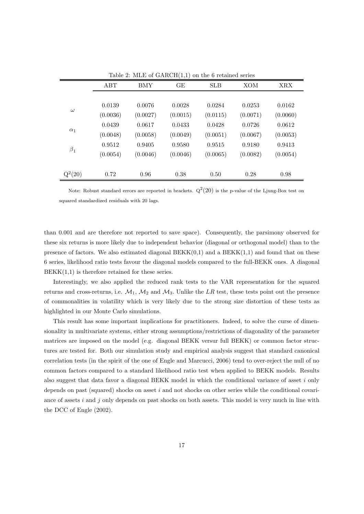|            | ABT      | <b>BMY</b> | GE       | <b>SLB</b> | XOM      | <b>XRX</b> |
|------------|----------|------------|----------|------------|----------|------------|
|            |          |            |          |            |          |            |
| $\omega$   | 0.0139   | 0.0076     | 0.0028   | 0.0284     | 0.0253   | 0.0162     |
|            | (0.0036) | (0.0027)   | (0.0015) | (0.0115)   | (0.0071) | (0.0060)   |
|            | 0.0439   | 0.0617     | 0.0433   | 0.0428     | 0.0726   | 0.0612     |
| $\alpha_1$ | (0.0048) | (0.0058)   | (0.0049) | (0.0051)   | (0.0067) | (0.0053)   |
|            | 0.9512   | 0.9405     | 0.9580   | 0.9515     | 0.9180   | 0.9413     |
| $\beta_1$  | (0.0054) | (0.0046)   | (0.0046) | (0.0065)   | (0.0082) | (0.0054)   |
|            |          |            |          |            |          |            |
| $Q^2(20)$  | 0.72     | 0.96       | 0.38     | 0.50       | 0.28     | 0.98       |

Table 2: MLE of  $GARCH(1,1)$  on the 6 retained series

Note: Robust standard errors are reported in brackets.  $Q^2(20)$  is the p-value of the Ljung-Box test on squared standardized residuals with 20 lags.

than 0.001 and are therefore not reported to save space). Consequently, the parsimony observed for these six returns is more likely due to independent behavior (diagonal or orthogonal model) than to the presence of factors. We also estimated diagonal  $BEKK(0,1)$  and a  $BEKK(1,1)$  and found that on these 6 series, likelihood ratio tests favour the diagonal models compared to the full-BEKK ones. A diagonal  $BEKK(1,1)$  is therefore retained for these series.

Interestingly, we also applied the reduced rank tests to the VAR representation for the squared returns and cross-returns, i.e.  $\mathcal{M}_1$ ,  $\mathcal{M}_2$  and  $\mathcal{M}_3$ . Unlike the LR test, these tests point out the presence of commonalities in volatility which is very likely due to the strong size distortion of these tests as highlighted in our Monte Carlo simulations.

This result has some important implications for practitioners. Indeed, to solve the curse of dimensionality in multivariate systems, either strong assumptions/restrictions of diagonality of the parameter matrices are imposed on the model (e.g. diagonal BEKK versur full BEKK) or common factor structures are tested for. Both our simulation study and empirical analysis suggest that standard canonical correlation tests (in the spirit of the one of Engle and Marcucci, 2006) tend to over-reject the null of no common factors compared to a standard likelihood ratio test when applied to BEKK models. Results also suggest that data favor a diagonal BEKK model in which the conditional variance of asset i only depends on past (squared) shocks on asset  $i$  and not shocks on other series while the conditional covariance of assets  $i$  and  $j$  only depends on past shocks on both assets. This model is very much in line with the DCC of Engle (2002).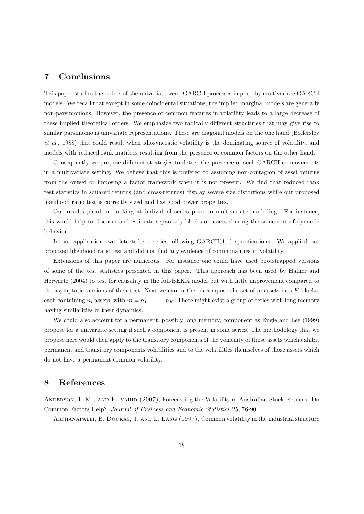## **7 Conclusions**

This paper studies the orders of the univariate weak GARCH processes implied by multivariate GARCH models. We recall that except in some coincidental situations, the implied marginal models are generally non-parsimonious. However, the presence of common features in volatility leads to a large decrease of these implied theoretical orders. We emphasize two radically different structures that may give rise to similar parsimonious univariate representations. These are diagonal models on the one hand (Bollerslev *et al.*, 1988) that could result when idiosyncratic volatility is the dominating source of volatility, and models with reduced rank matrices resulting from the presence of common factors on the other hand.

Consequently we propose different strategies to detect the presence of such GARCH co-movements in a multivariate setting. We believe that this is prefered to assuming non-contagion of asset returns from the outset or imposing a factor framework when it is not present. We find that reduced rank test statistics in squared returns (and cross-returns) display severe size distortions while our proposed likelihood ratio test is correctly sized and has good power properties.

Our results plead for looking at individual series prior to multivariate modelling. For instance, this would help to discover and estimate separately blocks of assets sharing the same sort of dynamic behavior.

In our application, we detected six series following  $GARCH(1,1)$  specifications. We applied our proposed likelihood ratio test and did not find any evidence of commonalities in volatility.

Extensions of this paper are numerous. For instance one could have used bootstrapped versions of some of the test statistics presented in this paper. This approach has been used by Hafner and Herwartz (2004) to test for causality in the full-BEKK model but with little improvement compared to the asymptotic versions of their test. Next we can further decompose the set of  $m$  assets into  $K$  blocks, each containing  $n_i$  assets, with  $m = n_1 + ... + n_K$ . There might exist a group of series with long memory having similarities in their dynamics.

We could also account for a permanent, possibly long memory, component as Engle and Lee (1999) propose for a univariate setting if such a component is present in some series. The methodology that we propose here would then apply to the transitory components of the volatility of those assets which exhibit permanent and transitory components volatilities and to the volatilities themselves of those assets which do not have a permanent common volatility.

## **8 References**

Anderson, H.M., and F. Vahid (2007), Forecasting the Volatility of Australian Stock Returns: Do Common Factors Help?, *Journal of Business and Economic Statistics* 25, 76-90.

Arshanapalli, B, Doukas, J. and L. Lang (1997), Common volatility in the industrial structure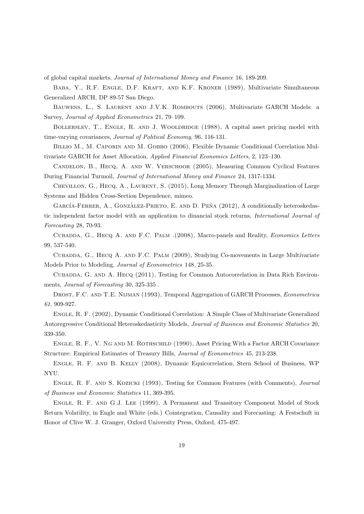of global capital markets, *Journal of International Money and Finance* 16, 189-209.

Baba, Y., R.F. Engle, D.F. Kraft, and K.F. Kroner (1989), Multivariate Simultaneous Generalized ARCH, DP 89-57 San Diego.

Bauwens, L., S. Laurent and J.V.K. Rombouts (2006), Multivariate GARCH Models: a Survey, *Journal of Applied Econometrics* 21, 79–109.

BOLLERSLEV, T., ENGLE, R. AND J. WOOLDRIDGE (1988), A capital asset pricing model with time-varying covariances, *Journal of Political Economy*, 96, 116-131.

BILLIO M., M. CAPORIN AND M. GOBBO (2006), Flexible Dynamic Conditional Correlation Multivariate GARCH for Asset Allocation, *Applied Financial Economics Letters*, 2, 123–130.

Candelon, B., Hecq, A. and W. Verschoor (2005), Measuring Common Cyclical Features During Financial Turmoil, *Journal of International Money and Finance* 24, 1317-1334.

CHEVILLON, G., HECQ, A., LAURENT, S. (2015), Long Memory Through Marginalization of Large Systems and Hidden Cross-Section Dependence, mimeo.

GARCÍA-FERRER, A., GONZÀLEZ-PRIETO, E. AND D. PEÑA (2012), A conditionally heteroskedastic independent factor model with an application to dinancial stock returns, *International Journal of Forecasting* 28, 70-93.

Cubadda, G., Hecq A. and F.C. Palm .(2008), Macro-panels and Reality, *Economics Letters* 99, 537-540.

CUBADDA, G., HECQ A. AND F.C. PALM (2009), Studying Co-movements in Large Multivariate Models Prior to Modeling, *Journal of Econometrics* 148, 25-35.

CUBADDA, G. AND A. HECQ (2011), Testing for Common Autocorrelation in Data Rich Environments, *Journal of Forecasting* 30, 325-335 .

Drost, F.C. and T.E. Nijman (1993), Temporal Aggregation of GARCH Processes, *Econometrica 61*, 909-927.

Engle, R. F. (2002), Dynamic Conditional Correlation: A Simple Class of Multivariate Generalized Autoregressive Conditional Heteroskedasticity Models, *Journal of Business and Economic Statistics* 20, 339-350.

ENGLE, R. F., V. NG AND M. ROTHSCHILD (1990), Asset Pricing With a Factor ARCH Covariance Structure: Empirical Estimates of Treasury Bills, *Journal of Econometrics* 45, 213-238.

Engle, R. F. and B. Kelly (2008), Dynamic Equicorrelation, Stern School of Business, WP NYU.

Engle, R. F. and S. Kozicki (1993), Testing for Common Features (with Comments), *Journal of Business and Economic Statistics* 11, 369-395.

Engle, R. F. and G.J. Lee (1999), A Permanent and Transitory Component Model of Stock Return Volatility, in Engle and White (eds.) Cointegration, Causality and Forecasting: A Festschuft in Honor of Clive W. J. Granger, Oxford University Press, Oxford, 475-497.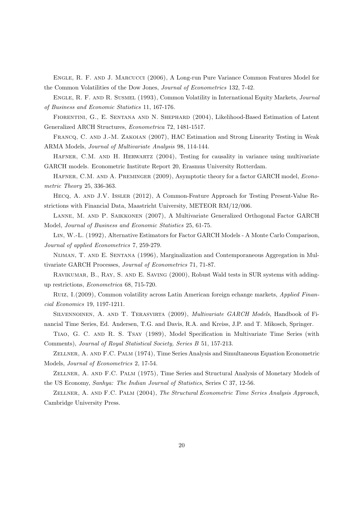Engle, R. F. and J. Marcucci (2006), A Long-run Pure Variance Common Features Model for the Common Volatilities of the Dow Jones, *Journal of Econometrics* 132, 7-42.

Engle, R. F. and R. Susmel (1993), Common Volatility in International Equity Markets, *Journal of Business and Economic Statistics* 11, 167-176.

FIORENTINI, G., E. SENTANA AND N. SHEPHARD (2004), Likelihood-Based Estimation of Latent Generalized ARCH Structures, *Econometrica* 72, 1481-1517.

Francq, C. and J.-M. Zakoian (2007), HAC Estimation and Strong Linearity Testing in Weak ARMA Models, *Journal of Multivariate Analysis* 98, 114-144.

HAFNER, C.M. AND H. HERWARTZ (2004), Testing for causality in variance using multivariate GARCH models. Econometric Institute Report 20, Erasmus University Rotterdam.

Hafner, C.M. and A. Preminger (2009), Asymptotic theory for a factor GARCH model, *Econometric Theory* 25, 336-363.

Hecq, A. and J.V. Issler (2012), A Common-Feature Approach for Testing Present-Value Restrictions with Financial Data, Maastricht University, METEOR RM/12/006.

Lanne, M. and P. Saikkonen (2007), A Multivariate Generalized Orthogonal Factor GARCH Model, *Journal of Business and Economic Statistics* 25, 61-75.

Lin, W.-L. (1992), Alternative Estimators for Factor GARCH Models - A Monte Carlo Comparison, *Journal of applied Econometrics* 7, 259-279.

Nijman, T. and E. Sentana (1996), Marginalization and Contemporaneous Aggregation in Multivariate GARCH Processes, *Journal of Econometrics* 71, 71-87.

Ravikumar, B., Ray, S. and E. Saving (2000), Robust Wald tests in SUR systems with addingup restrictions, *Econometrica* 68, 715-720.

Ruiz, I.(2009), Common volatility across Latin American foreign echange markets, *Applied Financial Economics* 19, 1197-1211.

Silvennoinen, A. and T. Terasvirta (2009), *Multivariate GARCH Models*, Handbook of Financial Time Series, Ed. Andersen, T.G. and Davis, R.A. and Kreiss, J.P. and T. Mikosch, Springer.

Tiao, G. C. and R. S. Tsay (1989), Model Specification in Multivariate Time Series (with Comments), *Journal of Royal Statistical Society, Series B* 51, 157-213.

Zellner, A. and F.C. Palm (1974), Time Series Analysis and Simultaneous Equation Econometric Models, *Journal of Econometrics* 2, 17-54.

Zellner, A. and F.C. Palm (1975), Time Series and Structural Analysis of Monetary Models of the US Economy, *Sanhya: The Indian Journal of Statistics*, Series C 37, 12-56.

Zellner, A. and F.C. Palm (2004), *The Structural Econometric Time Series Analysis Approach*, Cambridge University Press.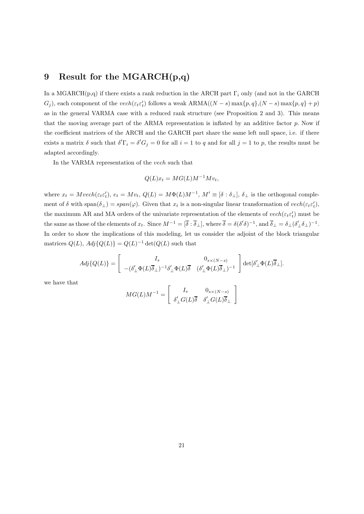## **9 Result for the MGARCH(p,q)**

In a MGARCH(p,q) if there exists a rank reduction in the ARCH part  $\Gamma_i$  only (and not in the GARCH  $G_j$ ), each component of the vech( $\varepsilon_t \varepsilon_t'$ ) follows a weak  $ARMA((N-s) \max\{p,q\}, (N-s) \max\{p,q\} + p)$ as in the general VARMA case with a reduced rank structure (see Proposition 2 and 3). This means that the moving average part of the ARMA representation is inflated by an additive factor  $p$ . Now if the coefficient matrices of the ARCH and the GARCH part share the same left null space, i.e. if there exists a matrix  $\delta$  such that  $\delta' \Gamma_i = \delta' G_j = 0$  for all  $i = 1$  to q and for all  $j = 1$  to p, the results must be adapted accordingly.

In the VARMA representation of the vech such that

$$
Q(L)x_t = MG(L)M^{-1}Mv_t,
$$

where  $x_t = Mvech(\varepsilon_t \varepsilon'_t)$ ,  $e_t = Mv_t$ ,  $Q(L) = M\Phi(L)M^{-1}$ ,  $M' \equiv [\delta : \delta_\perp]$ ,  $\delta_\perp$  is the orthogonal complement of  $\delta$  with span $(\delta_{\perp}) = span(\varphi)$ . Given that  $x_t$  is a non-singular linear transformation of  $vech(\varepsilon_t \varepsilon'_t)$ , the maximum AR and MA orders of the univariate representation of the elements of  $vech(\varepsilon_t \varepsilon'_t)$  must be the same as those of the elements of  $x_t$ . Since  $M^{-1} = [\overline{\delta} : \overline{\delta}_{\perp}]$ , where  $\overline{\delta} = \delta(\delta'\delta)^{-1}$ , and  $\overline{\delta}_{\perp} = \delta_{\perp}(\delta'_{\perp}\delta_{\perp})^{-1}$ . In order to show the implications of this modeling, let us consider the adjoint of the block triangular matrices  $Q(L)$ ,  $Adj\{Q(L)\} = Q(L)^{-1} \det(Q(L))$  such that

$$
Adj\{Q(L)\} = \begin{bmatrix} I_s & 0_{s \times (N-s)} \\ -(\delta'_\perp \Phi(L)\overline{\delta}_\perp)^{-1} \delta'_\perp \Phi(L)\overline{\delta} & (\delta'_\perp \Phi(L)\overline{\delta}_\perp)^{-1} \end{bmatrix} \det[\delta'_\perp \Phi(L)\overline{\delta}_\perp].
$$

we have that

$$
MG(L)M^{-1} = \begin{bmatrix} I_s & 0_{s \times (N-s)} \\ \delta'_{\perp} G(L) \overline{\delta} & \delta'_{\perp} G(L) \overline{\delta}_{\perp} \end{bmatrix}
$$